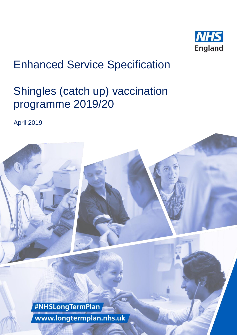

# Enhanced Service Specification

# Shingles (catch up) vaccination programme 2019/20

April 2019

#NHSLongTermPlan www.longtermplan.nhs.uk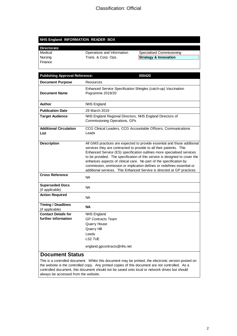#### **NHS England INFORMATION READER BOX**

| <b>Directorate</b><br>L |
|-------------------------|
| Medical<br>Nursing      |
|                         |

Finance

Operations and Information Specialised Commissioning Trans. & Corp. Ops. **Strategy & Innovation** 

| <b>Publishing Approval Reference:</b><br>000420 |                                                                                                                                                                                                                                                                                                                                                                                                                                                                                                                                   |  |
|-------------------------------------------------|-----------------------------------------------------------------------------------------------------------------------------------------------------------------------------------------------------------------------------------------------------------------------------------------------------------------------------------------------------------------------------------------------------------------------------------------------------------------------------------------------------------------------------------|--|
| <b>Document Purpose</b>                         | Resources                                                                                                                                                                                                                                                                                                                                                                                                                                                                                                                         |  |
| <b>Document Name</b>                            | Enhanced Service Specification Shingles (catch-up) Vaccination<br>Pogramme 2019/20                                                                                                                                                                                                                                                                                                                                                                                                                                                |  |
| Author                                          | <b>NHS England</b>                                                                                                                                                                                                                                                                                                                                                                                                                                                                                                                |  |
| <b>Publication Date</b>                         | 29 March 2019                                                                                                                                                                                                                                                                                                                                                                                                                                                                                                                     |  |
| <b>Target Audience</b>                          | NHS England Regional Directors, NHS England Directors of<br>Commissioning Operations, GPs                                                                                                                                                                                                                                                                                                                                                                                                                                         |  |
| <b>Additional Circulation</b><br>List           | CCG Clinical Leaders, CCG Accountable Officers, Communications<br>Leads                                                                                                                                                                                                                                                                                                                                                                                                                                                           |  |
| <b>Description</b>                              | All GMS practices are expected to provide essential and those additional<br>services they are contracted to provide to all their patients. This<br>Enhanced Service (ES) specification outlines more specialised services<br>to be provided. The specification of this service is designed to cover the<br>enhances aspects of clinical care. No part of the specification by<br>commission, ommission or implication defines or redefines essential or<br>additional services. This Enhanced Service is directed at GP practices |  |
| <b>Cross Reference</b>                          | NA.                                                                                                                                                                                                                                                                                                                                                                                                                                                                                                                               |  |
| <b>Superseded Docs</b><br>(if applicable)       | NA.                                                                                                                                                                                                                                                                                                                                                                                                                                                                                                                               |  |
| <b>Action Required</b>                          | <b>NA</b>                                                                                                                                                                                                                                                                                                                                                                                                                                                                                                                         |  |
| <b>Timing / Deadlines</b><br>(if applicable)    | <b>NA</b>                                                                                                                                                                                                                                                                                                                                                                                                                                                                                                                         |  |
| <b>Contact Details for</b>                      | <b>NHS England</b>                                                                                                                                                                                                                                                                                                                                                                                                                                                                                                                |  |
| further information                             | <b>GP Contracts Team</b>                                                                                                                                                                                                                                                                                                                                                                                                                                                                                                          |  |
|                                                 | <b>Quarry House</b>                                                                                                                                                                                                                                                                                                                                                                                                                                                                                                               |  |
|                                                 | Quarry Hill                                                                                                                                                                                                                                                                                                                                                                                                                                                                                                                       |  |
|                                                 | Leeds                                                                                                                                                                                                                                                                                                                                                                                                                                                                                                                             |  |
|                                                 | LS2 7UE                                                                                                                                                                                                                                                                                                                                                                                                                                                                                                                           |  |
|                                                 | england.gpcontracts@nhs.net                                                                                                                                                                                                                                                                                                                                                                                                                                                                                                       |  |

#### **Document Status**

This is a controlled document. Whilst this document may be printed, the electronic version posted on the website is the controlled copy. Any printed copies of this document are not controlled. As a controlled document, this document should not be saved onto local or network drives but should always be accessed from the website.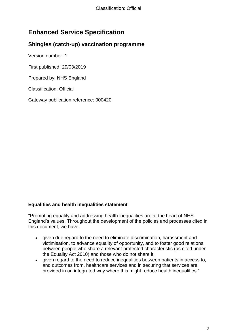### **Enhanced Service Specification**

#### **Shingles (catch-up) vaccination programme**

Version number: 1

First published: 29/03/2019

Prepared by: NHS England

Classification: Official

Gateway publication reference: 000420

#### **Equalities and health inequalities statement**

"Promoting equality and addressing health inequalities are at the heart of NHS England's values. Throughout the development of the policies and processes cited in this document, we have:

- given due regard to the need to eliminate discrimination, harassment and victimisation, to advance equality of opportunity, and to foster good relations between people who share a relevant protected characteristic (as cited under the Equality Act 2010) and those who do not share it;
- given regard to the need to reduce inequalities between patients in access to, and outcomes from, healthcare services and in securing that services are provided in an integrated way where this might reduce health inequalities."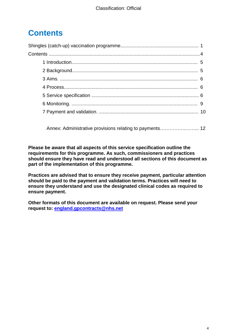## **Contents**

 [Annex: Administrative provisions relating to payments…](#page-11-0)………….……... 12

**Please be aware that all aspects of this service specification outline the requirements for this programme. As such, commissioners and practices should ensure they have read and understood all sections of this document as part of the implementation of this programme.** 

**Practices are advised that to ensure they receive payment, particular attention should be paid to the payment and validation terms. Practices will need to ensure they understand and use the designated clinical codes as required to ensure payment.**

<span id="page-3-0"></span>**Other formats of this document are available on request. Please send your request to: [england.gpcontracts@nhs.net](mailto:england.gpcontracts@nhs.net)**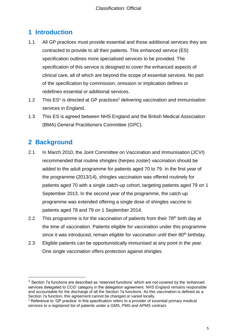### **1 Introduction**

- 1.1 All GP practices must provide essential and those additional services they are contracted to provide to all their patients. This enhanced service (ES) specification outlines more specialised services to be provided. The specification of this service is designed to cover the enhanced aspects of clinical care, all of which are beyond the scope of essential services. No part of the specification by commission, omission or implication defines or redefines essential or additional services.
- 1.2 This ES<sup>1</sup> is directed at GP practices<sup>2</sup> delivering vaccination and immunisation services in England.
- 1.3 This ES is agreed between NHS England and the British Medical Association (BMA) General Practitioners Committee (GPC).

#### <span id="page-4-0"></span>**2 Background**

l

- 2.1 In March 2010, the Joint Committee on Vaccination and Immunisation (JCVI) recommended that routine shingles (herpes zoster) vaccination should be added to the adult programme for patients aged 70 to 79. In the first year of the programme (2013/14), shingles vaccination was offered routinely for patients aged 70 with a single catch-up cohort, targeting patients aged 79 on 1 September 2013. In the second year of the programme, the catch-up programme was extended offering a single dose of shingles vaccine to patients aged 78 and 79 on 1 September 2014.
- 2.2 This programme is for the vaccination of patients from their 78<sup>th</sup> birth day at the time of vaccination. Patients eligible for vaccination under this programme since it was introduced, remain eligible for vaccination until their 80<sup>th</sup> birthday.
- 2.3 Eligible patients can be opportunistically immunised at any point in the year. One single vaccination offers protection against shingles.

 $<sup>1</sup>$  Section 7a functions are described as 'reserved functions' which are not covered by the 'enhanced</sup> services delegated to CCG' category in the delegation agreement. NHS England remains responsible and accountable for the discharge of all the Section 7a functions. As this vaccination is defined as a Section 7a function, this agreement cannot be changed or varied locally.

<sup>&</sup>lt;sup>2</sup> Reference to 'GP practice' in this specification refers to a provider of essential primary medical services to a registered list of patients under a GMS, PMS and APMS contract.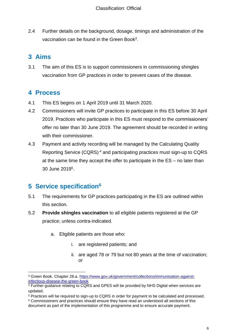2.4 Further details on the background, dosage, timings and administration of the vaccination can be found in the Green Book<sup>3</sup>.

## <span id="page-5-0"></span>**3 Aims**

3.1 The aim of this ES is to support commissioners in commissioning shingles vaccination from GP practices in order to prevent cases of the disease.

#### <span id="page-5-1"></span>**4 Process**

- 4.1 This ES begins on 1 April 2019 until 31 March 2020.
- 4.2 Commissioners will invite GP practices to participate in this ES before 30 April 2019. Practices who participate in this ES must respond to the commissioners' offer no later than 30 June 2019. The agreement should be recorded in writing with their commissioner.
- 4.3 Payment and activity recording will be managed by the Calculating Quality Reporting Service (CQRS) <sup>4</sup> and participating practices must sign-up to CQRS at the same time they accept the offer to participate in the ES – no later than 30 June 2019 5 .

## <span id="page-5-2"></span>**5 Service specification<sup>6</sup>**

- 5.1 The requirements for GP practices participating in the ES are outlined within this section.
- 5.2 **Provide shingles vaccination** to all eligible patients registered at the GP practice; unless contra-indicated.
	- a. Eligible patients are those who:
		- i. are registered patients; and
		- ii. are aged 78 or 79 but not 80 years at the time of vaccination; or

l <sup>3</sup> Green Book. Chapter 28.a. [https://www.gov.uk/government/collections/immunisation-against](https://www.gov.uk/government/collections/immunisation-against-infectious-disease-the-green-book)[infectious-disease-the-green-book](https://www.gov.uk/government/collections/immunisation-against-infectious-disease-the-green-book)

<sup>4</sup> Further guidance relating to CQRS and GPES will be provided by NHS Digital when services are updated.

<sup>5</sup> Practices will be required to sign-up to CQRS in order for payment to be calculated and processed.

<sup>6</sup> Commissioners and practices should ensure they have read an understood all sections of this document as part of the implementation of this programme and to ensure accurate payment.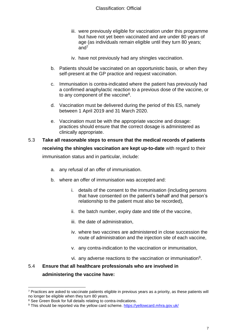- iii. were previously eligible for vaccination under this programme but have not yet been vaccinated and are under 80 years of age (as individuals remain eligible until they turn 80 years; and $^7$
- iv. have not previously had any shingles vaccination.
- b. Patients should be vaccinated on an opportunistic basis, or when they self-present at the GP practice and request vaccination.
- c. Immunisation is contra-indicated where the patient has previously had a confirmed anaphylactic reaction to a previous dose of the vaccine, or to any component of the vaccine<sup>8</sup>.
- d. Vaccination must be delivered during the period of this ES, namely between 1 April 2019 and 31 March 2020.
- e. Vaccination must be with the appropriate vaccine and dosage: practices should ensure that the correct dosage is administered as clinically appropriate.

#### 5.3 **Take all reasonable steps to ensure that the medical records of patients receiving the shingles vaccination are kept up-to-date** with regard to their immunisation status and in particular, include:

- a. any refusal of an offer of immunisation.
- b. where an offer of immunisation was accepted and:
	- i. details of the consent to the immunisation (including persons that have consented on the patient's behalf and that person's relationship to the patient must also be recorded),
	- ii. the batch number, expiry date and title of the vaccine,
	- iii. the date of administration,
	- iv. where two vaccines are administered in close succession the route of administration and the injection site of each vaccine,
	- v. any contra-indication to the vaccination or immunisation,
	- vi. any adverse reactions to the vaccination or immunisation<sup>9</sup>.

#### 5.4 **Ensure that all healthcare professionals who are involved in administering the vaccine have:**

 $\overline{a}$ 

<sup>7</sup> Practices are asked to vaccinate patients eligible in previous years as a priority, as these patients will no longer be eligible when they turn 80 years.

<sup>&</sup>lt;sup>8</sup> See Green Book for full details relating to contra-indications.

<sup>9</sup> This should be reported via the yellow card scheme.<https://yellowcard.mhra.gov.uk/>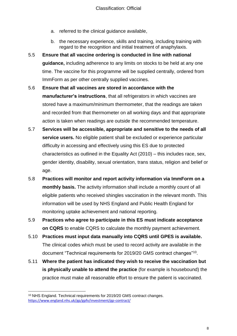- a. referred to the clinical guidance available,
- b. the necessary experience, skills and training, including training with regard to the recognition and initial treatment of anaphylaxis.
- 5.5 **Ensure that all vaccine ordering is conducted in line with national guidance,** including adherence to any limits on stocks to be held at any one time. The vaccine for this programme will be supplied centrally, ordered from ImmForm as per other centrally supplied vaccines.
- 5.6 **Ensure that all vaccines are stored in accordance with the manufacturer's instructions**, that all refrigerators in which vaccines are stored have a maximum/minimum thermometer, that the readings are taken and recorded from that thermometer on all working days and that appropriate action is taken when readings are outside the recommended temperature.
- 5.7 **Services will be accessible, appropriate and sensitive to the needs of all service users.** No eligible patient shall be excluded or experience particular difficulty in accessing and effectively using this ES due to protected characteristics as outlined in the Equality Act (2010) – this includes race, sex, gender identity, disability, sexual orientation, trans status, religion and belief or age.
- 5.8 **Practices will monitor and report activity information via ImmForm on a monthly basis.** The activity information shall include a monthly count of all eligible patients who received shingles vaccination in the relevant month. This information will be used by NHS England and Public Health England for monitoring uptake achievement and national reporting.
- 5.9 **Practices who agree to participate in this ES must indicate acceptance on CQRS** to enable CQRS to calculate the monthly payment achievement.
- 5.10 **Practices must input data manually into CQRS until GPES is available.**  The clinical codes which must be used to record activity are available in the document "Technical requirements for 2019/20 GMS contract changes"<sup>10</sup>.
- 5.11 **Where the patient has indicated they wish to receive the vaccination but is physically unable to attend the practice** (for example is housebound) the practice must make all reasonable effort to ensure the patient is vaccinated.

 $\overline{a}$ 

<sup>10</sup> NHS England. Technical requirements for 2019/20 GMS contract changes. <https://www.england.nhs.uk/gp/gpfv/investment/gp-contract/>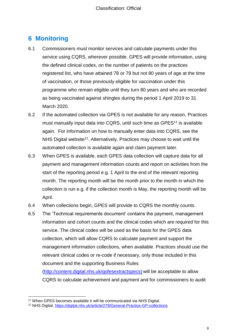#### <span id="page-8-0"></span>**6 Monitoring**

- 6.1 Commissioners must monitor services and calculate payments under this service using CQRS, wherever possible. GPES will provide information, using the defined clinical codes, on the number of patients on the practices registered list, who have attained 78 or 79 but not 80 years of age at the time of vaccination, or those previously eligible for vaccination under this programme who remain eligible until they turn 80 years and who are recorded as being vaccinated against shingles during the period 1 April 2019 to 31 March 2020.
- 6.2 If the automated collection via GPES is not available for any reason, Practices must manually input data into CQRS, until such time as GPES<sup>11</sup> is available again. For information on how to manually enter data into CQRS, see the NHS Digital website<sup>12</sup>. Alternatively, Practices may choose to wait until the automated collection is available again and claim payment later.
- 6.3 When GPES is available, each GPES data collection will capture data for all payment and management information counts and report on activities from the start of the reporting period e.g. 1 April to the end of the relevant reporting month. The reporting month will be the month prior to the month in which the collection is run e.g. if the collection month is May, the reporting month will be April.
- 6.4 When collections begin, GPES will provide to CQRS the monthly counts.
- 6.5 The 'Technical requirements document' contains the payment, management information and cohort counts and the clinical codes which are required for this service. The clinical codes will be used as the basis for the GPES data collection, which will allow CQRS to calculate payment and support the management information collections, when available. Practices should use the relevant clinical codes or re-code if necessary, only those included in this document and the supporting Business Rules

[\(http://content.digital.nhs.uk/qofesextractspecs\)](http://content.digital.nhs.uk/qofesextractspecs) will be acceptable to allow CQRS to calculate achievement and payment and for commissioners to audit

 $\overline{a}$ <sup>11</sup> When GPES becomes available it will be communicated via NHS Digital.

<sup>12</sup> NHS Digital.<https://digital.nhs.uk/article/279/General-Practice-GP-collections>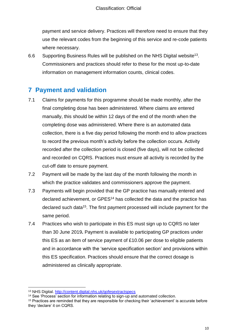payment and service delivery. Practices will therefore need to ensure that they use the relevant codes from the beginning of this service and re-code patients where necessary.

6.6 Supporting Business Rules will be published on the NHS Digital website<sup>13</sup>. Commissioners and practices should refer to these for the most up-to-date information on management information counts, clinical codes.

#### <span id="page-9-0"></span>**7 Payment and validation**

- 7.1 Claims for payments for this programme should be made monthly, after the final completing dose has been administered. Where claims are entered manually, this should be within 12 days of the end of the month when the completing dose was administered. Where there is an automated data collection, there is a five day period following the month end to allow practices to record the previous month's activity before the collection occurs. Activity recorded after the collection period is closed (five days), will not be collected and recorded on CQRS. Practices must ensure all activity is recorded by the cut-off date to ensure payment.
- 7.2 Payment will be made by the last day of the month following the month in which the practice validates and commissioners approve the payment.
- 7.3 Payments will begin provided that the GP practice has manually entered and declared achievement, or GPES<sup>14</sup> has collected the data and the practice has declared such data<sup>15</sup>. The first payment processed will include payment for the same period.
- 7.4 Practices who wish to participate in this ES must sign up to CQRS no later than 30 June 2019**.** Payment is available to participating GP practices under this ES as an item of service payment of £10.06 per dose to eligible patients and in accordance with the 'service specification section' and provisions within this ES specification. Practices should ensure that the correct dosage is administered as clinically appropriate.

 $\overline{a}$ 

<sup>13</sup> NHS Digital.<http://content.digital.nhs.uk/qofesextractspecs>

<sup>&</sup>lt;sup>14</sup> See 'Process' section for information relating to sign-up and automated collection.

<sup>15</sup> Practices are reminded that they are responsible for checking their 'achievement' is accurate before they 'declare' it on CQRS.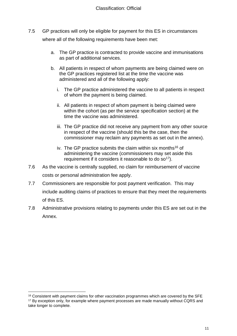- 7.5 GP practices will only be eligible for payment for this ES in circumstances where all of the following requirements have been met:
	- a. The GP practice is contracted to provide vaccine and immunisations as part of additional services.
	- b. All patients in respect of whom payments are being claimed were on the GP practices registered list at the time the vaccine was administered and all of the following apply:
		- i. The GP practice administered the vaccine to all patients in respect of whom the payment is being claimed.
		- ii. All patients in respect of whom payment is being claimed were within the cohort (as per the service specification section) at the time the vaccine was administered.
		- iii. The GP practice did not receive any payment from any other source in respect of the vaccine (should this be the case, then the commissioner may reclaim any payments as set out in the annex).
		- iv. The GP practice submits the claim within six months<sup>16</sup> of administering the vaccine (commissioners may set aside this requirement if it considers it reasonable to do so<sup>17</sup>).
- 7.6 As the vaccine is centrally supplied, no claim for reimbursement of vaccine costs or personal administration fee apply.
- 7.7 Commissioners are responsible for post payment verification. This may include auditing claims of practices to ensure that they meet the requirements of this ES.
- 7.8 Administrative provisions relating to payments under this ES are set out in the Annex.

l

<sup>&</sup>lt;sup>16</sup> Consistent with payment claims for other vaccination programmes which are covered by the SFE <sup>17</sup> By exception only, for example where payment processes are made manually without CQRS and take longer to complete.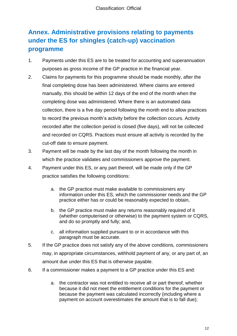## <span id="page-11-0"></span>**Annex. Administrative provisions relating to payments under the ES for shingles (catch-up) vaccination programme**

- 1. Payments under this ES are to be treated for accounting and superannuation purposes as gross income of the GP practice in the financial year.
- 2. Claims for payments for this programme should be made monthly, after the final completing dose has been administered. Where claims are entered manually, this should be within 12 days of the end of the month when the completing dose was administered. Where there is an automated data collection, there is a five day period following the month end to allow practices to record the previous month's activity before the collection occurs. Activity recorded after the collection period is closed (five days), will not be collected and recorded on CQRS. Practices must ensure all activity is recorded by the cut-off date to ensure payment.
- 3. Payment will be made by the last day of the month following the month in which the practice validates and commissioners approve the payment.
- 4. Payment under this ES, or any part thereof, will be made only if the GP practice satisfies the following conditions:
	- a. the GP practice must make available to commissioners any information under this ES, which the commissioner needs and the GP practice either has or could be reasonably expected to obtain,
	- b. the GP practice must make any returns reasonably required of it (whether computerised or otherwise) to the payment system or CQRS, and do so promptly and fully; and,
	- c. all information supplied pursuant to or in accordance with this paragraph must be accurate.
- 5. If the GP practice does not satisfy any of the above conditions, commissioners may, in appropriate circumstances, withhold payment of any, or any part of, an amount due under this ES that is otherwise payable.
- 6. If a commissioner makes a payment to a GP practice under this ES and:
	- a. the contractor was not entitled to receive all or part thereof, whether because it did not meet the entitlement conditions for the payment or because the payment was calculated incorrectly (including where a payment on account overestimates the amount that is to fall due);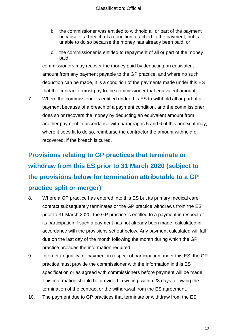- b. the commissioner was entitled to withhold all or part of the payment because of a breach of a condition attached to the payment, but is unable to do so because the money has already been paid; or
- c. the commissioner is entitled to repayment of all or part of the money paid,

commissioners may recover the money paid by deducting an equivalent amount from any payment payable to the GP practice, and where no such deduction can be made, it is a condition of the payments made under this ES that the contractor must pay to the commissioner that equivalent amount.

7. Where the commissioner is entitled under this ES to withhold all or part of a payment because of a breach of a payment condition, and the commissioner does so or recovers the money by deducting an equivalent amount from another payment in accordance with paragraphs 5 and 6 of this annex, it may, where it sees fit to do so, reimburse the contractor the amount withheld or recovered, if the breach is cured.

## **Provisions relating to GP practices that terminate or withdraw from this ES prior to 31 March 2020 (subject to the provisions below for termination attributable to a GP practice split or merger)**

- 8. Where a GP practice has entered into this ES but its primary medical care contract subsequently terminates or the GP practice withdraws from the ES prior to 31 March 2020, the GP practice is entitled to a payment in respect of its participation if such a payment has not already been made, calculated in accordance with the provisions set out below. Any payment calculated will fall due on the last day of the month following the month during which the GP practice provides the information required.
- 9. In order to qualify for payment in respect of participation under this ES, the GP practice must provide the commissioner with the information in this ES specification or as agreed with commissioners before payment will be made. This information should be provided in writing, within 28 days following the termination of the contract or the withdrawal from the ES agreement.
- 10. The payment due to GP practices that terminate or withdraw from the ES